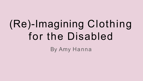# (Re)-Imagining Clothing for the Disabled

By Amy Hanna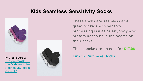## **Kids Seamless Sensitivity Socks**



[https://smartknit.](https://smartknit.com/kids-seamless-sensitivity-socks-3-pack/) [com/kids-seamles](https://smartknit.com/kids-seamless-sensitivity-socks-3-pack/) [s-sensitivity-socks](https://smartknit.com/kids-seamless-sensitivity-socks-3-pack/) [-3-pack/](https://smartknit.com/kids-seamless-sensitivity-socks-3-pack/)



These socks are seamless and great for kids with sensory processing issues or anybody who prefers not to have the seams on their socks.

These socks are on sale for **\$17.96**

Photos Source: **And the Socks Replace Socks**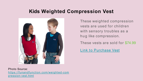## **Kids Weighted Compression Vest**



These weighted compression vests are used for children with sensory troubles as a hug like compression.

These vests are sold for \$74.99

Link to [Purchase](https://funandfunction.com/weighted-compression-vest.html) Vest

Photo Source: [https://funandfunction.com/weighted-com](https://funandfunction.com/weighted-compression-vest.html) [pression-vest.html](https://funandfunction.com/weighted-compression-vest.html)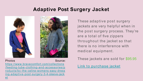# **Adaptive Post Surgery Jacket**



Photos Source:

[https://www.bravecomfort.com/collections](https://www.bravecomfort.com/collections/feeding-tube-clothing-and-accessories/products/bc-the-celine-womens-easy-dressing-adaptive-post-surgery-3-4-sleeve-jacket) [/feeding-tube-clothing-and-accessories/p](https://www.bravecomfort.com/collections/feeding-tube-clothing-and-accessories/products/bc-the-celine-womens-easy-dressing-adaptive-post-surgery-3-4-sleeve-jacket) [roducts/bc-the-celine-womens-easy-dress](https://www.bravecomfort.com/collections/feeding-tube-clothing-and-accessories/products/bc-the-celine-womens-easy-dressing-adaptive-post-surgery-3-4-sleeve-jacket) [ing-adaptive-post-surgery-3-4-sleeve-jack](https://www.bravecomfort.com/collections/feeding-tube-clothing-and-accessories/products/bc-the-celine-womens-easy-dressing-adaptive-post-surgery-3-4-sleeve-jacket) [et](https://www.bravecomfort.com/collections/feeding-tube-clothing-and-accessories/products/bc-the-celine-womens-easy-dressing-adaptive-post-surgery-3-4-sleeve-jacket)

These adaptive post surgery jackets are very helpful when in the post surgery process. They're are a total of five zippers throughout the jacket so that there is no interference with medical equipment.

These jackets are sold for \$95.95

Link to [purchase](https://www.bravecomfort.com/collections/feeding-tube-clothing-and-accessories/products/bc-the-celine-womens-easy-dressing-adaptive-post-surgery-3-4-sleeve-jacket) jacket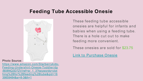## **Feeding Tube Accessible Onesie**



Photo Source:

[https://www.amazon.com/Starberrykids-](https://www.amazon.com/Starberrykids-Feeding-Undershirt-Onesie-Toddler/dp/B08NQ3D7ZV/ref%3Dsr_1_3?keywords=clothing%2Bfor%2Bfeeding%2Btube&qid=1639859484&sr=8-3&th=1)[Feeding-Undershirt-Onesie-Toddler/dp](https://www.amazon.com/Starberrykids-Feeding-Undershirt-Onesie-Toddler/dp/B08NQ3D7ZV/ref%3Dsr_1_3?keywords=clothing%2Bfor%2Bfeeding%2Btube&qid=1639859484&sr=8-3&th=1) [/B08NQ3D7ZV/ref=sr\\_1\\_3?keywords=clot](https://www.amazon.com/Starberrykids-Feeding-Undershirt-Onesie-Toddler/dp/B08NQ3D7ZV/ref%3Dsr_1_3?keywords=clothing%2Bfor%2Bfeeding%2Btube&qid=1639859484&sr=8-3&th=1) [hing%2Bfor%2Bfeeding%2Btube&qid=16](https://www.amazon.com/Starberrykids-Feeding-Undershirt-Onesie-Toddler/dp/B08NQ3D7ZV/ref%3Dsr_1_3?keywords=clothing%2Bfor%2Bfeeding%2Btube&qid=1639859484&sr=8-3&th=1) [39859484&sr=8-3&th=1](https://www.amazon.com/Starberrykids-Feeding-Undershirt-Onesie-Toddler/dp/B08NQ3D7ZV/ref%3Dsr_1_3?keywords=clothing%2Bfor%2Bfeeding%2Btube&qid=1639859484&sr=8-3&th=1)

These feeding tube accessible onesies are helpful for infants and babies when using a feeding tube. There is a hole cut out to make feeding more convenient.

These onesies are sold for \$23.75

Link to [Purchase](https://www.amazon.com/Starberrykids-Feeding-Undershirt-Onesie-Toddler/dp/B08NQ3D7ZV/ref%3Dsr_1_3?keywords=clothing%2Bfor%2Bfeeding%2Btube&qid=1639859484&sr=8-3&th=1) Onesie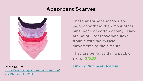# **Absorbent Scarves**



[https://www.adaptationsbyadrian.com/](https://www.adaptationsbyadrian.com/product-p/711-716.htm) [product-p/711-716.htm](https://www.adaptationsbyadrian.com/product-p/711-716.htm)

These absorbent scarves are more absorbent than most other bibs made of cotton or vinyl. They are helpful for those who have trouble with the muscle movements of their mouth.

They are being sold in a pack of six for \$75.00

#### Photo Source: **Link to [Purchase](https://www.adaptationsbyadrian.com/product-p/711-716.htm) Scarves**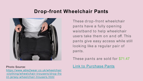## **Drop-front Wheelchair Pants**



[https://www.able2wear.co.uk/wheelchair](https://www.able2wear.co.uk/wheelchair-clothing/wheelchair-trousers/drop-front-jersey-wheelchair-trousers.html) [-clothing/wheelchair-trousers/drop-fro](https://www.able2wear.co.uk/wheelchair-clothing/wheelchair-trousers/drop-front-jersey-wheelchair-trousers.html) [nt-jersey-wheelchair-trousers.html](https://www.able2wear.co.uk/wheelchair-clothing/wheelchair-trousers/drop-front-jersey-wheelchair-trousers.html)

These drop-front wheelchair pants have a fully opening waistband to help wheelchair users take them on and off. This pants give easy access while still looking like a regular pair of pants.

These pants are sold for \$71.47

#### Photo Source: **Link to [Purchase](https://www.able2wear.co.uk/wheelchair-clothing/wheelchair-trousers/drop-front-jersey-wheelchair-trousers.html) Pants**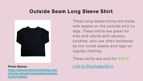## **Outside Seam Long Sleeve Shirt**



**[https://sensorysmartclothing.com/](https://sensorysmartclothing.com/charlie-relaxed-long-sleeve-bamboo-shirt-black/) [charlie-relaxed-long-sleeve-bambo](https://sensorysmartclothing.com/charlie-relaxed-long-sleeve-bamboo-shirt-black/) [o-shirt-black/](https://sensorysmartclothing.com/charlie-relaxed-long-sleeve-bamboo-shirt-black/)**

These long sleeve shirts are made with seams on the outside and no tags. These shirts are great for kids and adults with sensory troubles, who are often bothered by the inside seams and tags on regular clothing.

These shirts are sold for \$38.00

**Photo Source:** Link to [Purchase](https://sensorysmartclothing.com/charlie-relaxed-long-sleeve-bamboo-shirt-black/) Shirt